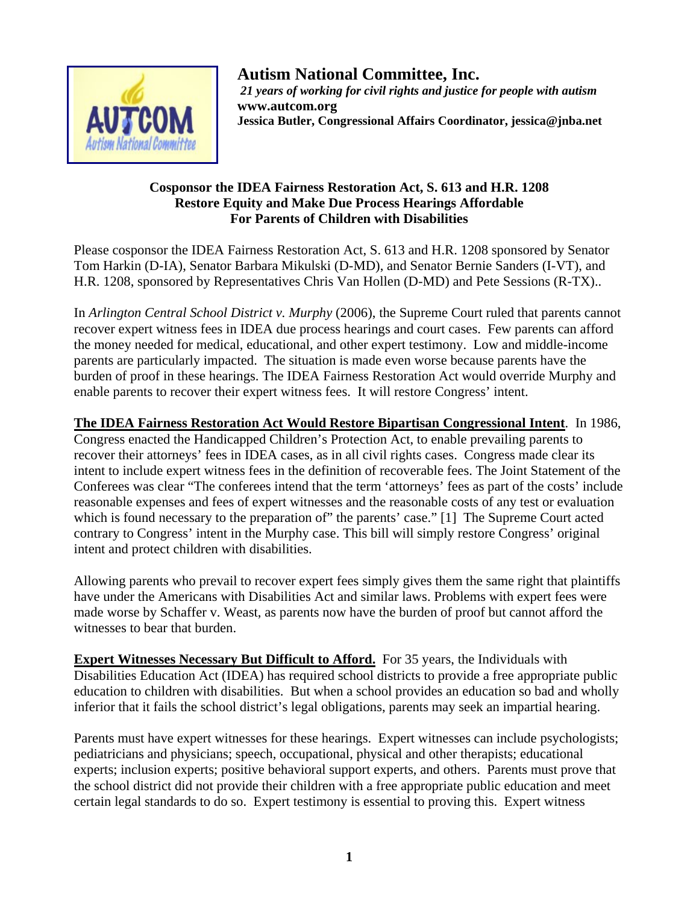

**Autism National Committee, Inc.**   *21 years of working for civil rights and justice for people with autism*  **www.autcom.org Jessica Butler, Congressional Affairs Coordinator, jessica@jnba.net** 

## **Cosponsor the IDEA Fairness Restoration Act, S. 613 and H.R. 1208 Restore Equity and Make Due Process Hearings Affordable For Parents of Children with Disabilities**

Please cosponsor the IDEA Fairness Restoration Act, S. 613 and H.R. 1208 sponsored by Senator Tom Harkin (D-IA), Senator Barbara Mikulski (D-MD), and Senator Bernie Sanders (I-VT), and H.R. 1208, sponsored by Representatives Chris Van Hollen (D-MD) and Pete Sessions (R-TX)..

In *Arlington Central School District v. Murphy* (2006), the Supreme Court ruled that parents cannot recover expert witness fees in IDEA due process hearings and court cases. Few parents can afford the money needed for medical, educational, and other expert testimony. Low and middle-income parents are particularly impacted. The situation is made even worse because parents have the burden of proof in these hearings. The IDEA Fairness Restoration Act would override Murphy and enable parents to recover their expert witness fees. It will restore Congress' intent.

**The IDEA Fairness Restoration Act Would Restore Bipartisan Congressional Intent**. In 1986, Congress enacted the Handicapped Children's Protection Act, to enable prevailing parents to recover their attorneys' fees in IDEA cases, as in all civil rights cases. Congress made clear its intent to include expert witness fees in the definition of recoverable fees. The Joint Statement of the Conferees was clear "The conferees intend that the term 'attorneys' fees as part of the costs' include reasonable expenses and fees of expert witnesses and the reasonable costs of any test or evaluation which is found necessary to the preparation of" the parents' case." [1] The Supreme Court acted contrary to Congress' intent in the Murphy case. This bill will simply restore Congress' original intent and protect children with disabilities.

Allowing parents who prevail to recover expert fees simply gives them the same right that plaintiffs have under the Americans with Disabilities Act and similar laws. Problems with expert fees were made worse by Schaffer v. Weast, as parents now have the burden of proof but cannot afford the witnesses to bear that burden.

**Expert Witnesses Necessary But Difficult to Afford.** For 35 years, the Individuals with Disabilities Education Act (IDEA) has required school districts to provide a free appropriate public education to children with disabilities. But when a school provides an education so bad and wholly inferior that it fails the school district's legal obligations, parents may seek an impartial hearing.

Parents must have expert witnesses for these hearings. Expert witnesses can include psychologists; pediatricians and physicians; speech, occupational, physical and other therapists; educational experts; inclusion experts; positive behavioral support experts, and others. Parents must prove that the school district did not provide their children with a free appropriate public education and meet certain legal standards to do so. Expert testimony is essential to proving this. Expert witness